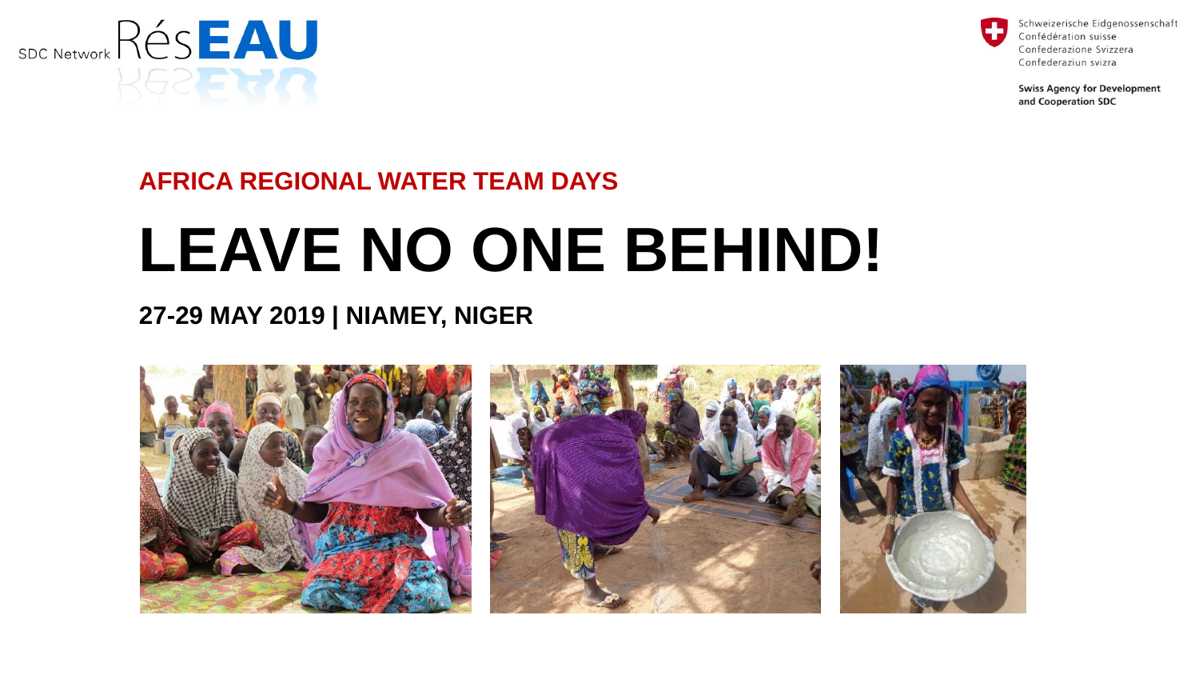



**Swiss Agency for Development** and Cooperation SDC

### **AFRICA REGIONAL WATER TEAM DAYS**

# **LEAVE NO ONE BEHIND!**

#### **27-29 MAY 2019 | NIAMEY, NIGER**

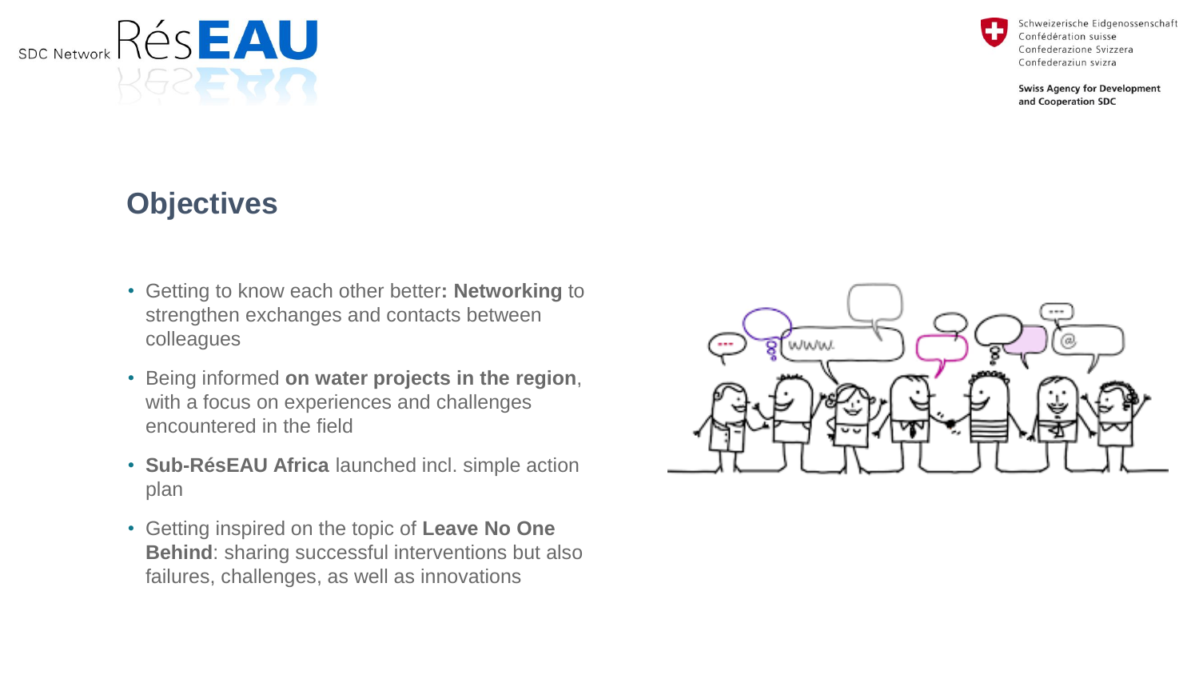Confédération suisse Confederazione Svizzera Confederaziun svizra

Schweizerische Eidgenossenschaft

**Swiss Agency for Development** and Cooperation SDC

## **Objectives**

Rés**eau** 

**SDC Network** 

- Getting to know each other better**: Networking** to strengthen exchanges and contacts between colleagues
- Being informed **on water projects in the region**, with a focus on experiences and challenges encountered in the field
- **Sub-RésEAU Africa** launched incl. simple action plan
- Getting inspired on the topic of **Leave No One Behind**: sharing successful interventions but also failures, challenges, as well as innovations

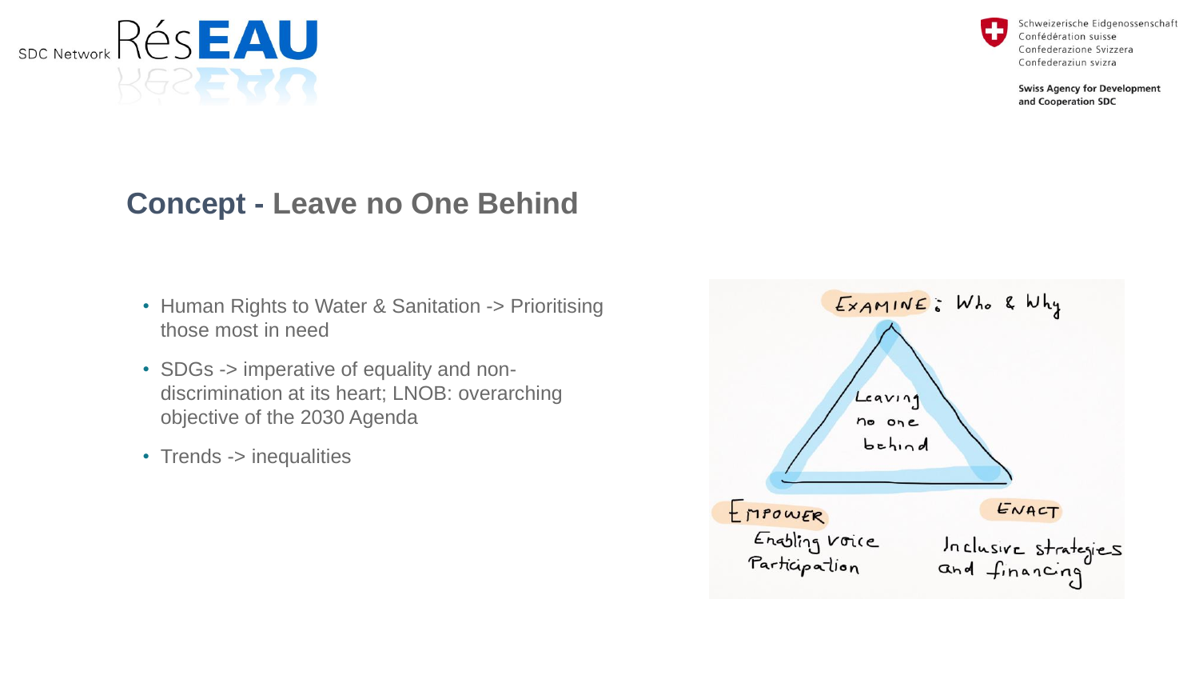

Schweizerische Eidgenossenschaft Confédération suisse Confederazione Svizzera Confederaziun svizra

**Swiss Agency for Development** and Cooperation SDC

## **Concept - Leave no One Behind**

- Human Rights to Water & Sanitation -> Prioritising those most in need
- SDGs -> imperative of equality and nondiscrimination at its heart; LNOB: overarching objective of the 2030 Agenda
- Trends -> inequalities